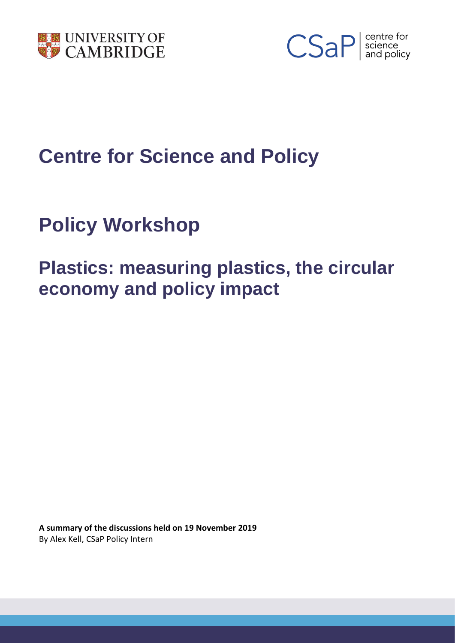



# **Centre for Science and Policy**

# **Policy Workshop**

# **Plastics: measuring plastics, the circular economy and policy impact**

**A summary of the discussions held on 19 November 2019** By Alex Kell, CSaP Policy Intern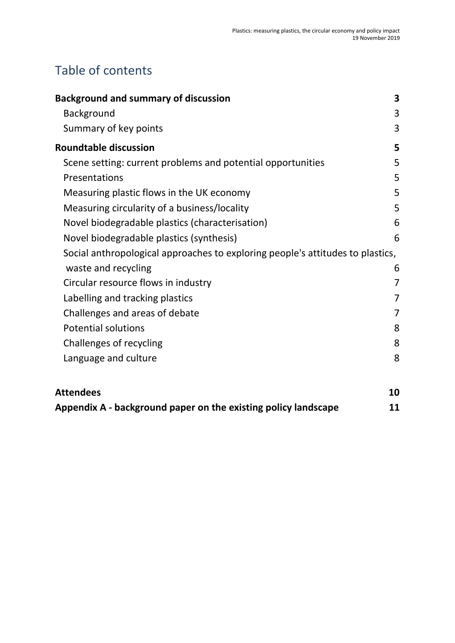## Table of contents

| <b>Background and summary of discussion</b>                                    | 3 |
|--------------------------------------------------------------------------------|---|
| <b>Background</b>                                                              | 3 |
| Summary of key points                                                          | 3 |
| <b>Roundtable discussion</b>                                                   | 5 |
| Scene setting: current problems and potential opportunities                    | 5 |
| Presentations                                                                  | 5 |
| Measuring plastic flows in the UK economy                                      | 5 |
| Measuring circularity of a business/locality                                   | 5 |
| Novel biodegradable plastics (characterisation)                                | 6 |
| Novel biodegradable plastics (synthesis)                                       | 6 |
| Social anthropological approaches to exploring people's attitudes to plastics, |   |
| waste and recycling                                                            | 6 |
| Circular resource flows in industry                                            | 7 |
| Labelling and tracking plastics                                                | 7 |
| Challenges and areas of debate                                                 | 7 |
| <b>Potential solutions</b>                                                     | 8 |
| Challenges of recycling                                                        | 8 |
| Language and culture                                                           | 8 |
|                                                                                |   |

| <b>Attendees</b>                                               |  |
|----------------------------------------------------------------|--|
| Appendix A - background paper on the existing policy landscape |  |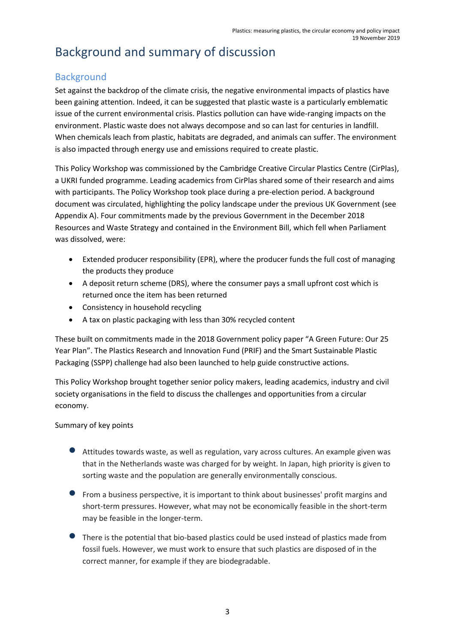## Background and summary of discussion

#### **Background**

Set against the backdrop of the climate crisis, the negative environmental impacts of plastics have been gaining attention. Indeed, it can be suggested that plastic waste is a particularly emblematic issue of the current environmental crisis. Plastics pollution can have wide-ranging impacts on the environment. Plastic waste does not always decompose and so can last for centuries in landfill. When chemicals leach from plastic, habitats are degraded, and animals can suffer. The environment is also impacted through energy use and emissions required to create plastic.

This Policy Workshop was commissioned by the Cambridge Creative Circular Plastics Centre (CirPlas), a UKRI funded programme. Leading academics from CirPlas shared some of their research and aims with participants. The Policy Workshop took place during a pre-election period. A background document was circulated, highlighting the policy landscape under the previous UK Government (see Appendix A). Four commitments made by the previous Government in the December 2018 Resources and Waste Strategy and contained in the Environment Bill, which fell when Parliament was dissolved, were:

- Extended producer responsibility (EPR), where the producer funds the full cost of managing the products they produce
- A deposit return scheme (DRS), where the consumer pays a small upfront cost which is returned once the item has been returned
- Consistency in household recycling
- A tax on plastic packaging with less than 30% recycled content

These built on commitments made in the 2018 Government policy paper "A Green Future: Our 25 Year Plan". The Plastics Research and Innovation Fund (PRIF) and the Smart Sustainable Plastic Packaging (SSPP) challenge had also been launched to help guide constructive actions.

This Policy Workshop brought together senior policy makers, leading academics, industry and civil society organisations in the field to discuss the challenges and opportunities from a circular economy.

#### Summary of key points

- Attitudes towards waste, as well as regulation, vary across cultures. An example given was that in the Netherlands waste was charged for by weight. In Japan, high priority is given to sorting waste and the population are generally environmentally conscious.
- From a business perspective, it is important to think about businesses' profit margins and short-term pressures. However, what may not be economically feasible in the short-term may be feasible in the longer-term.
- **•** There is the potential that bio-based plastics could be used instead of plastics made from fossil fuels. However, we must work to ensure that such plastics are disposed of in the correct manner, for example if they are biodegradable.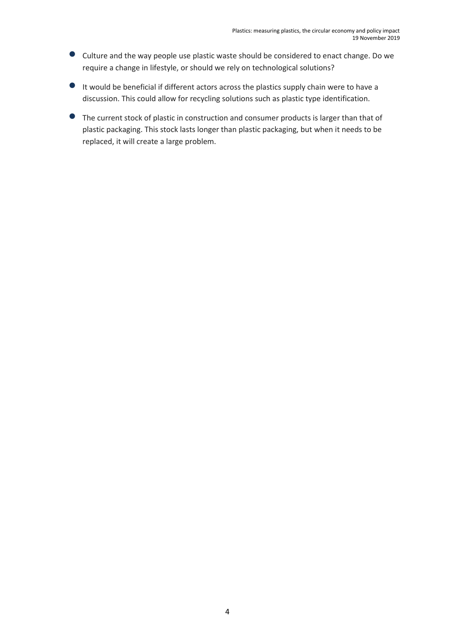- Culture and the way people use plastic waste should be considered to enact change. Do we require a change in lifestyle, or should we rely on technological solutions?
- It would be beneficial if different actors across the plastics supply chain were to have a discussion. This could allow for recycling solutions such as plastic type identification.
- The current stock of plastic in construction and consumer products is larger than that of plastic packaging. This stock lasts longer than plastic packaging, but when it needs to be replaced, it will create a large problem.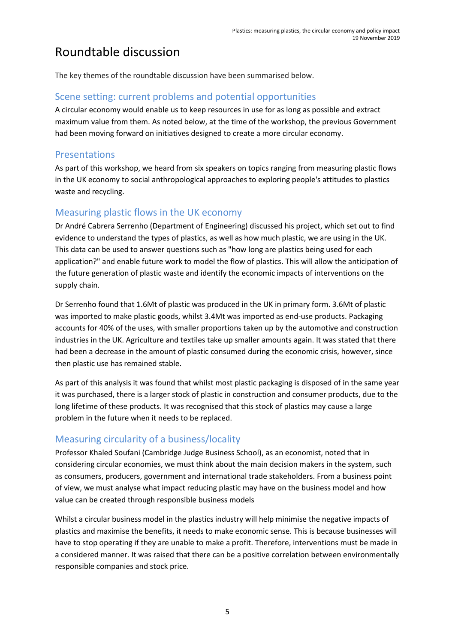## Roundtable discussion

The key themes of the roundtable discussion have been summarised below.

#### Scene setting: current problems and potential opportunities

A circular economy would enable us to keep resources in use for as long as possible and extract maximum value from them. As noted below, at the time of the workshop, the previous Government had been moving forward on initiatives designed to create a more circular economy.

#### Presentations

As part of this workshop, we heard from six speakers on topics ranging from measuring plastic flows in the UK economy to social anthropological approaches to exploring people's attitudes to plastics waste and recycling.

#### Measuring plastic flows in the UK economy

Dr André Cabrera Serrenho (Department of Engineering) discussed his project, which set out to find evidence to understand the types of plastics, as well as how much plastic, we are using in the UK. This data can be used to answer questions such as "how long are plastics being used for each application?" and enable future work to model the flow of plastics. This will allow the anticipation of the future generation of plastic waste and identify the economic impacts of interventions on the supply chain.

Dr Serrenho found that 1.6Mt of plastic was produced in the UK in primary form. 3.6Mt of plastic was imported to make plastic goods, whilst 3.4Mt was imported as end-use products. Packaging accounts for 40% of the uses, with smaller proportions taken up by the automotive and construction industries in the UK. Agriculture and textiles take up smaller amounts again. It was stated that there had been a decrease in the amount of plastic consumed during the economic crisis, however, since then plastic use has remained stable.

As part of this analysis it was found that whilst most plastic packaging is disposed of in the same year it was purchased, there is a larger stock of plastic in construction and consumer products, due to the long lifetime of these products. It was recognised that this stock of plastics may cause a large problem in the future when it needs to be replaced.

### Measuring circularity of a business/locality

Professor Khaled Soufani (Cambridge Judge Business School), as an economist, noted that in considering circular economies, we must think about the main decision makers in the system, such as consumers, producers, government and international trade stakeholders. From a business point of view, we must analyse what impact reducing plastic may have on the business model and how value can be created through responsible business models

Whilst a circular business model in the plastics industry will help minimise the negative impacts of plastics and maximise the benefits, it needs to make economic sense. This is because businesses will have to stop operating if they are unable to make a profit. Therefore, interventions must be made in a considered manner. It was raised that there can be a positive correlation between environmentally responsible companies and stock price.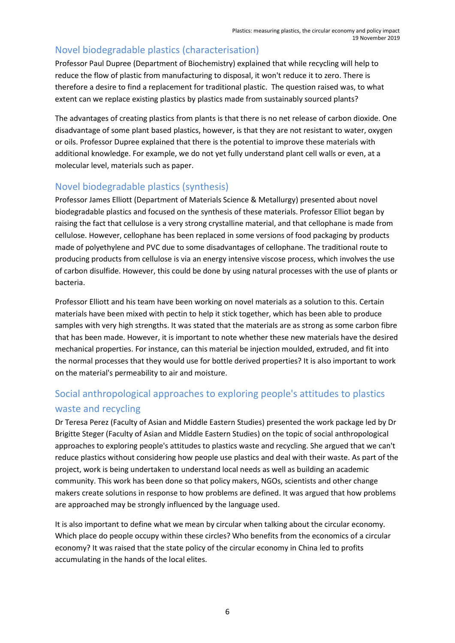## Novel biodegradable plastics (characterisation)

Professor Paul Dupree (Department of Biochemistry) explained that while recycling will help to reduce the flow of plastic from manufacturing to disposal, it won't reduce it to zero. There is therefore a desire to find a replacement for traditional plastic. The question raised was, to what extent can we replace existing plastics by plastics made from sustainably sourced plants?

The advantages of creating plastics from plants is that there is no net release of carbon dioxide. One disadvantage of some plant based plastics, however, is that they are not resistant to water, oxygen or oils. Professor Dupree explained that there is the potential to improve these materials with additional knowledge. For example, we do not yet fully understand plant cell walls or even, at a molecular level, materials such as paper.

### Novel biodegradable plastics (synthesis)

Professor James Elliott (Department of Materials Science & Metallurgy) presented about novel biodegradable plastics and focused on the synthesis of these materials. Professor Elliot began by raising the fact that cellulose is a very strong crystalline material, and that cellophane is made from cellulose. However, cellophane has been replaced in some versions of food packaging by products made of polyethylene and PVC due to some disadvantages of cellophane. The traditional route to producing products from cellulose is via an energy intensive viscose process, which involves the use of carbon disulfide. However, this could be done by using natural processes with the use of plants or bacteria.

Professor Elliott and his team have been working on novel materials as a solution to this. Certain materials have been mixed with pectin to help it stick together, which has been able to produce samples with very high strengths. It was stated that the materials are as strong as some carbon fibre that has been made. However, it is important to note whether these new materials have the desired mechanical properties. For instance, can this material be injection moulded, extruded, and fit into the normal processes that they would use for bottle derived properties? It is also important to work on the material's permeability to air and moisture.

## Social anthropological approaches to exploring people's attitudes to plastics waste and recycling

Dr Teresa Perez (Faculty of Asian and Middle Eastern Studies) presented the work package led by Dr Brigitte Steger (Faculty of Asian and Middle Eastern Studies) on the topic of social anthropological approaches to exploring people's attitudes to plastics waste and recycling. She argued that we can't reduce plastics without considering how people use plastics and deal with their waste. As part of the project, work is being undertaken to understand local needs as well as building an academic community. This work has been done so that policy makers, NGOs, scientists and other change makers create solutions in response to how problems are defined. It was argued that how problems are approached may be strongly influenced by the language used.

It is also important to define what we mean by circular when talking about the circular economy. Which place do people occupy within these circles? Who benefits from the economics of a circular economy? It was raised that the state policy of the circular economy in China led to profits accumulating in the hands of the local elites.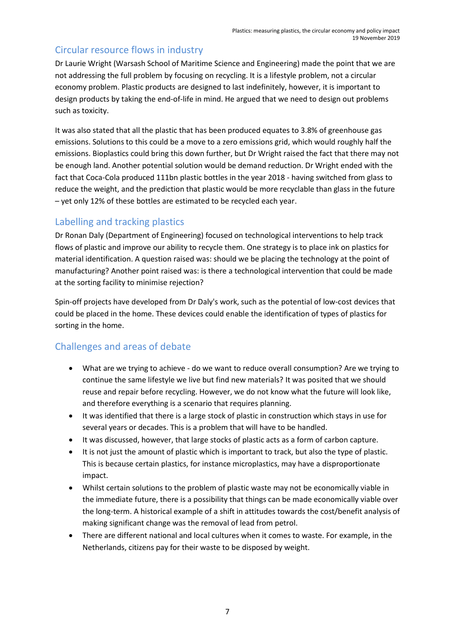## Circular resource flows in industry

Dr Laurie Wright (Warsash School of Maritime Science and Engineering) made the point that we are not addressing the full problem by focusing on recycling. It is a lifestyle problem, not a circular economy problem. Plastic products are designed to last indefinitely, however, it is important to design products by taking the end-of-life in mind. He argued that we need to design out problems such as toxicity.

It was also stated that all the plastic that has been produced equates to 3.8% of greenhouse gas emissions. Solutions to this could be a move to a zero emissions grid, which would roughly half the emissions. Bioplastics could bring this down further, but Dr Wright raised the fact that there may not be enough land. Another potential solution would be demand reduction. Dr Wright ended with the fact that Coca-Cola produced 111bn plastic bottles in the year 2018 - having switched from glass to reduce the weight, and the prediction that plastic would be more recyclable than glass in the future – yet only 12% of these bottles are estimated to be recycled each year.

### Labelling and tracking plastics

Dr Ronan Daly (Department of Engineering) focused on technological interventions to help track flows of plastic and improve our ability to recycle them. One strategy is to place ink on plastics for material identification. A question raised was: should we be placing the technology at the point of manufacturing? Another point raised was: is there a technological intervention that could be made at the sorting facility to minimise rejection?

Spin-off projects have developed from Dr Daly's work, such as the potential of low-cost devices that could be placed in the home. These devices could enable the identification of types of plastics for sorting in the home.

## Challenges and areas of debate

- What are we trying to achieve do we want to reduce overall consumption? Are we trying to continue the same lifestyle we live but find new materials? It was posited that we should reuse and repair before recycling. However, we do not know what the future will look like, and therefore everything is a scenario that requires planning.
- It was identified that there is a large stock of plastic in construction which stays in use for several years or decades. This is a problem that will have to be handled.
- It was discussed, however, that large stocks of plastic acts as a form of carbon capture.
- It is not just the amount of plastic which is important to track, but also the type of plastic. This is because certain plastics, for instance microplastics, may have a disproportionate impact.
- Whilst certain solutions to the problem of plastic waste may not be economically viable in the immediate future, there is a possibility that things can be made economically viable over the long-term. A historical example of a shift in attitudes towards the cost/benefit analysis of making significant change was the removal of lead from petrol.
- There are different national and local cultures when it comes to waste. For example, in the Netherlands, citizens pay for their waste to be disposed by weight.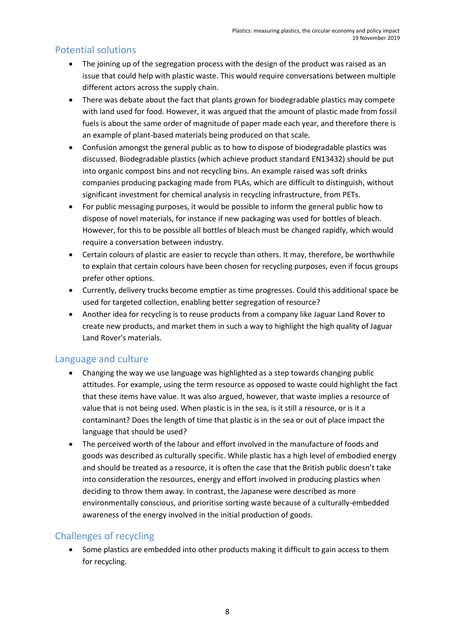### Potential solutions

- The joining up of the segregation process with the design of the product was raised as an issue that could help with plastic waste. This would require conversations between multiple different actors across the supply chain.
- There was debate about the fact that plants grown for biodegradable plastics may compete with land used for food. However, it was argued that the amount of plastic made from fossil fuels is about the same order of magnitude of paper made each year, and therefore there is an example of plant-based materials being produced on that scale.
- Confusion amongst the general public as to how to dispose of biodegradable plastics was discussed. Biodegradable plastics (which achieve product standard EN13432) should be put into organic compost bins and not recycling bins. An example raised was soft drinks companies producing packaging made from PLAs, which are difficult to distinguish, without significant investment for chemical analysis in recycling infrastructure, from PETs.
- For public messaging purposes, it would be possible to inform the general public how to dispose of novel materials, for instance if new packaging was used for bottles of bleach. However, for this to be possible all bottles of bleach must be changed rapidly, which would require a conversation between industry.
- Certain colours of plastic are easier to recycle than others. It may, therefore, be worthwhile to explain that certain colours have been chosen for recycling purposes, even if focus groups prefer other options.
- Currently, delivery trucks become emptier as time progresses. Could this additional space be used for targeted collection, enabling better segregation of resource?
- Another idea for recycling is to reuse products from a company like Jaguar Land Rover to create new products, and market them in such a way to highlight the high quality of Jaguar Land Rover's materials.

#### Language and culture

- Changing the way we use language was highlighted as a step towards changing public attitudes. For example, using the term resource as opposed to waste could highlight the fact that these items have value. It was also argued, however, that waste implies a resource of value that is not being used. When plastic is in the sea, is it still a resource, or is it a contaminant? Does the length of time that plastic is in the sea or out of place impact the language that should be used?
- The perceived worth of the labour and effort involved in the manufacture of foods and goods was described as culturally specific. While plastic has a high level of embodied energy and should be treated as a resource, it is often the case that the British public doesn't take into consideration the resources, energy and effort involved in producing plastics when deciding to throw them away. In contrast, the Japanese were described as more environmentally conscious, and prioritise sorting waste because of a culturally-embedded awareness of the energy involved in the initial production of goods.

## Challenges of recycling

• Some plastics are embedded into other products making it difficult to gain access to them for recycling.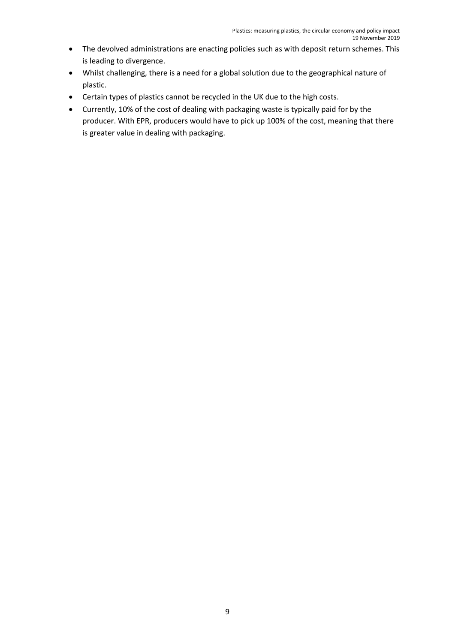- The devolved administrations are enacting policies such as with deposit return schemes. This is leading to divergence.
- Whilst challenging, there is a need for a global solution due to the geographical nature of plastic.
- Certain types of plastics cannot be recycled in the UK due to the high costs.
- Currently, 10% of the cost of dealing with packaging waste is typically paid for by the producer. With EPR, producers would have to pick up 100% of the cost, meaning that there is greater value in dealing with packaging.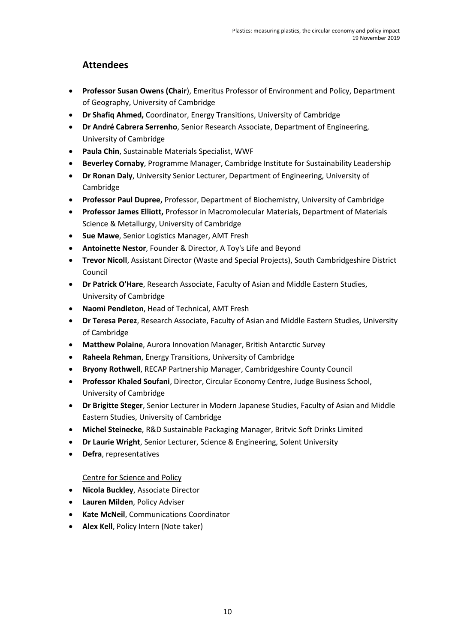### **Attendees**

- **Professor Susan Owens (Chair**), Emeritus Professor of Environment and Policy, Department of Geography, University of Cambridge
- **Dr Shafiq Ahmed,** Coordinator, Energy Transitions, University of Cambridge
- **Dr André Cabrera Serrenho**, Senior Research Associate, Department of Engineering, University of Cambridge
- **Paula Chin**, Sustainable Materials Specialist, WWF
- **Beverley Cornaby**, Programme Manager, Cambridge Institute for Sustainability Leadership
- **Dr Ronan Daly**, University Senior Lecturer, Department of Engineering, University of Cambridge
- **Professor Paul Dupree,** Professor, Department of Biochemistry, University of Cambridge
- **Professor James Elliott,** Professor in Macromolecular Materials, Department of Materials Science & Metallurgy, University of Cambridge
- **Sue Mawe**, Senior Logistics Manager, AMT Fresh
- **Antoinette Nestor**, Founder & Director, A Toy's Life and Beyond
- **Trevor Nicoll**, Assistant Director (Waste and Special Projects), South Cambridgeshire District Council
- **Dr Patrick O'Hare**, Research Associate, Faculty of Asian and Middle Eastern Studies, University of Cambridge
- **Naomi Pendleton**, Head of Technical, AMT Fresh
- **Dr Teresa Perez**, Research Associate, Faculty of Asian and Middle Eastern Studies, University of Cambridge
- **Matthew Polaine**, Aurora Innovation Manager, British Antarctic Survey
- **Raheela Rehman**, Energy Transitions, University of Cambridge
- **Bryony Rothwell**, RECAP Partnership Manager, Cambridgeshire County Council
- **Professor Khaled Soufani**, Director, Circular Economy Centre, Judge Business School, University of Cambridge
- **Dr Brigitte Steger**, Senior Lecturer in Modern Japanese Studies, Faculty of Asian and Middle Eastern Studies, University of Cambridge
- **Michel Steinecke**, R&D Sustainable Packaging Manager, Britvic Soft Drinks Limited
- **Dr Laurie Wright**, Senior Lecturer, Science & Engineering, Solent University
- **Defra**, representatives

#### Centre for Science and Policy

- **Nicola Buckley**, Associate Director
- **Lauren Milden**, Policy Adviser
- **Kate McNeil**, Communications Coordinator
- **Alex Kell**, Policy Intern (Note taker)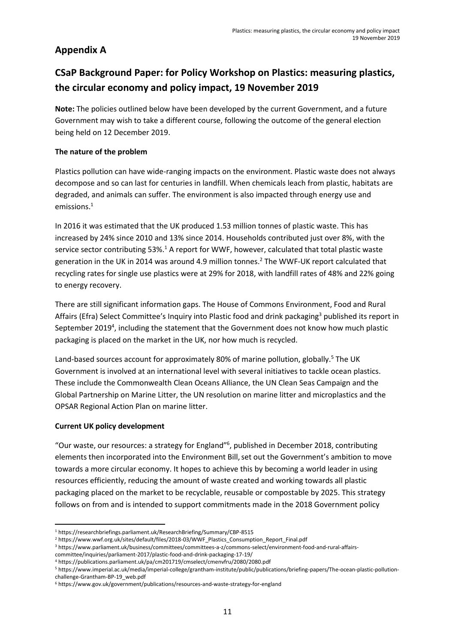## **Appendix A**

## **CSaP Background Paper: for Policy Workshop on Plastics: measuring plastics, the circular economy and policy impact, 19 November 2019**

**Note:** The policies outlined below have been developed by the current Government, and a future Government may wish to take a different course, following the outcome of the general election being held on 12 December 2019.

#### **The nature of the problem**

Plastics pollution can have wide-ranging impacts on the environment. Plastic waste does not always decompose and so can last for centuries in landfill. When chemicals leach from plastic, habitats are degraded, and animals can suffer. The environment is also impacted through energy use and emissions[.](#page-10-0)<sup>1</sup>

<span id="page-10-0"></span>In 2016 it was estimated that the UK produced 1.53 million tonnes of plastic waste. This has increased by 24% since 2010 and 13% since 2014. Households contributed just over 8%, with the service sector contributing  $53\%$ .<sup>1</sup> A report for WWF, however, calculated that total plastic waste generation in the UK in 2014 was around 4.9 million tonnes.<sup>2</sup> The WWF-UK report calculated that recycling rates for single use plastics were at 29% for 2018, with landfill rates of 48% and 22% going to energy recovery.

There are still significant information gaps. The House of Commons Environment, Food and Rural Affairs (Efra) Select Committee's Inquiry into Plastic food and drink packaging<sup>3</sup> published its report in September 2019<sup>4</sup>, including the statement that the Government does not know how much plastic packaging is placed on the market in the UK, nor how much is recycled.

Land-based sources account for approximately 80% of marine pollution, globally.<sup>5</sup> The UK Government is involved at an international level with several initiatives to tackle ocean plastics. These include the Commonwealth Clean Oceans Alliance, the UN Clean Seas Campaign and the Global Partnership on Marine Litter, the UN resolution on marine litter and microplastics and the OPSAR Regional Action Plan on marine litter.

#### **Current UK policy development**

"Our waste, our resources: a strategy for England"<sup>6</sup> , published in December 2018, contributing elements then incorporated into the Environment Bill, set out the Government's ambition to move towards a more circular economy. It hopes to achieve this by becoming a world leader in using resources efficiently, reducing the amount of waste created and working towards all plastic packaging placed on the market to be recyclable, reusable or compostable by 2025. This strategy follows on from and is intended to support commitments made in the 2018 Government policy

<sup>1</sup> <https://researchbriefings.parliament.uk/ResearchBriefing/Summary/CBP-8515>

<sup>&</sup>lt;sup>2</sup> [https://www.wwf.org.uk/sites/default/files/2018-03/WWF\\_Plastics\\_Consumption\\_Report\\_Final.pdf](https://www.wwf.org.uk/sites/default/files/2018-03/WWF_Plastics_Consumption_Report_Final.pdf)

<sup>3</sup> [https://www.parliament.uk/business/committees/committees-a-z/commons-select/environment-food-and-rural-affairs-](https://www.parliament.uk/business/committees/committees-a-z/commons-select/environment-food-and-rural-affairs-committee/inquiries/parliament-2017/plastic-food-and-drink-packaging-17-19/)

[committee/inquiries/parliament-2017/plastic-food-and-drink-packaging-17-19/](https://www.parliament.uk/business/committees/committees-a-z/commons-select/environment-food-and-rural-affairs-committee/inquiries/parliament-2017/plastic-food-and-drink-packaging-17-19/)

<sup>4</sup> <https://publications.parliament.uk/pa/cm201719/cmselect/cmenvfru/2080/2080.pdf>

<sup>5</sup> [https://www.imperial.ac.uk/media/imperial-college/grantham-institute/public/publications/briefing-papers/The-ocean-plastic-pollution](https://www.imperial.ac.uk/media/imperial-college/grantham-institute/public/publications/briefing-papers/The-ocean-plastic-pollution-challenge-Grantham-BP-19_web.pdf)[challenge-Grantham-BP-19\\_web.pdf](https://www.imperial.ac.uk/media/imperial-college/grantham-institute/public/publications/briefing-papers/The-ocean-plastic-pollution-challenge-Grantham-BP-19_web.pdf)

<sup>6</sup> <https://www.gov.uk/government/publications/resources-and-waste-strategy-for-england>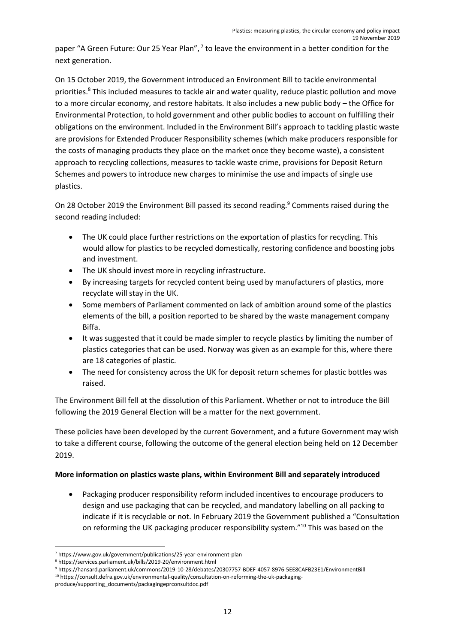paper "A Green Future: Our 25 Year Plan",  $7$  to leave the environment in a better condition for the next generation.

On 15 October 2019, the Government introduced an Environment Bill to tackle environmental priorities.<sup>8</sup> This included measures to tackle air and water quality, reduce plastic pollution and move to a more circular economy, and restore habitats. It also includes a new public body – the Office for Environmental Protection, to hold government and other public bodies to account on fulfilling their obligations on the environment. Included in the Environment Bill's approach to tackling plastic waste are provisions for Extended Producer Responsibility schemes (which make producers responsible for the costs of managing products they place on the market once they become waste), a consistent approach to recycling collections, measures to tackle waste crime, provisions for Deposit Return Schemes and powers to introduce new charges to minimise the use and impacts of single use plastics.

On 28 October 2019 the Environment Bill passed its second reading.<sup>9</sup> Comments raised during the second reading included:

- The UK could place further restrictions on the exportation of plastics for recycling. This would allow for plastics to be recycled domestically, restoring confidence and boosting jobs and investment.
- The UK should invest more in recycling infrastructure.
- By increasing targets for recycled content being used by manufacturers of plastics, more recyclate will stay in the UK.
- Some members of Parliament commented on lack of ambition around some of the plastics elements of the bill, a position reported to be shared by the waste management company Biffa.
- It was suggested that it could be made simpler to recycle plastics by limiting the number of plastics categories that can be used. Norway was given as an example for this, where there are 18 categories of plastic.
- The need for consistency across the UK for deposit return schemes for plastic bottles was raised.

The Environment Bill fell at the dissolution of this Parliament. Whether or not to introduce the Bill following the 2019 General Election will be a matter for the next government.

These policies have been developed by the current Government, and a future Government may wish to take a different course, following the outcome of the general election being held on 12 December 2019.

#### **More information on plastics waste plans, within Environment Bill and separately introduced**

<span id="page-11-1"></span><span id="page-11-0"></span>• Packaging producer responsibility reform included incentives to encourage producers to design and use packaging that can be recycled, and mandatory labelling on all packing to indicate if it is recyclable or not. In February 2019 the Government published a "Consultation on reforming the UK packaging producer responsibility system."<sup>10</sup> This was based on the

<sup>7</sup> <https://www.gov.uk/government/publications/25-year-environment-plan>

<sup>8</sup> <https://services.parliament.uk/bills/2019-20/environment.html>

<sup>9</sup> <https://hansard.parliament.uk/commons/2019-10-28/debates/20307757-BDEF-4057-8976-5EE8CAFB23E1/EnvironmentBill>

<sup>10</sup> [https://consult.defra.gov.uk/environmental-quality/consultation-on-reforming-the-uk-packaging-](https://consult.defra.gov.uk/environmental-quality/consultation-on-reforming-the-uk-packaging-produce/supporting_documents/packagingeprconsultdoc.pdf)

[produce/supporting\\_documents/packagingeprconsultdoc.pdf](https://consult.defra.gov.uk/environmental-quality/consultation-on-reforming-the-uk-packaging-produce/supporting_documents/packagingeprconsultdoc.pdf)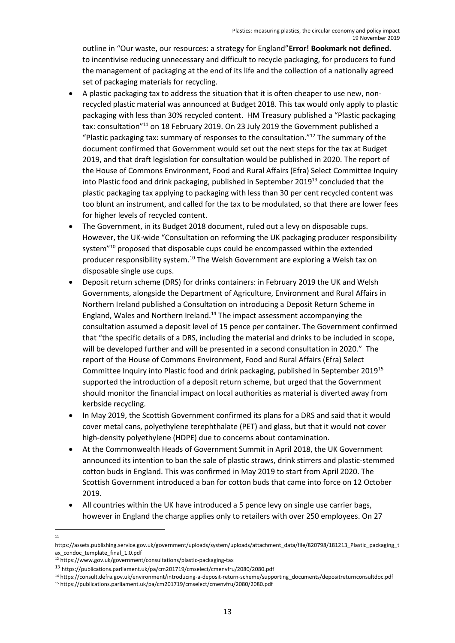outline in "Our waste, our resources: a strategy for England"**Error! Bookmark not defined.** to incentivise reducing unnecessary and difficult to recycle packaging, for producers to fund the management of packaging at the end of its life and the collection of a nationally agreed set of packaging materials for recycling.

- A plastic packaging tax to address the situation that it is often cheaper to use new, nonrecycled plastic material was announced at Budget 2018. This tax would only apply to plastic packaging with less than 30% recycled content. HM Treasury published a "Plastic packaging tax: consultation"<sup>11</sup> on 18 February 2019. On 23 July 2019 the Government published a "Plastic packaging tax: summary of responses to the consultation." $^{12}$  The summary of the document confirmed that Government would set out the next steps for the tax at Budget 2019, and that draft legislation for consultation would be published in 2020. The report of the House of Commons Environment, Food and Rural Affairs (Efra) Select Committee Inquiry into Plastic food and drink packaging, published in September 2019<sup>13</sup> concluded that the plastic packaging tax applying to packaging with less than 30 per cent recycled content was too blunt an instrument, and called for the tax to be modulated, so that there are lower fees for higher levels of recycled content.
- The Government, in its Budget 2018 document, ruled out a levy on disposable cups. However, the UK-wide "Consultation on reforming the UK packaging producer responsibility system"[10](#page-11-0) proposed that disposable cups could be encompassed within the extended producer responsibility system.[10](#page-11-1) The Welsh Government are exploring a Welsh tax on disposable single use cups.
- Deposit return scheme (DRS) for drinks containers: in February 2019 the UK and Welsh Governments, alongside the Department of Agriculture, Environment and Rural Affairs in Northern Ireland published a Consultation on introducing a Deposit Return Scheme in England, Wales and Northern Ireland.<sup>14</sup> The impact assessment accompanying the consultation assumed a deposit level of 15 pence per container. The Government confirmed that "the specific details of a DRS, including the material and drinks to be included in scope, will be developed further and will be presented in a second consultation in 2020." The report of the House of Commons Environment, Food and Rural Affairs (Efra) Select Committee Inquiry into Plastic food and drink packaging, published in September 2019<sup>15</sup> supported the introduction of a deposit return scheme, but urged that the Government should monitor the financial impact on local authorities as material is diverted away from kerbside recycling.
- In May 2019, the Scottish Government confirmed its plans for a DRS and said that it would cover metal cans, polyethylene terephthalate (PET) and glass, but that it would not cover high-density polyethylene (HDPE) due to concerns about contamination.
- At the Commonwealth Heads of Government Summit in April 2018, the UK Government announced its intention to ban the sale of plastic straws, drink stirrers and plastic-stemmed cotton buds in England. This was confirmed in May 2019 to start from April 2020. The Scottish Government introduced a ban for cotton buds that came into force on 12 October 2019.
- All countries within the UK have introduced a 5 pence levy on single use carrier bags, however in England the charge applies only to retailers with over 250 employees. On 27

<sup>11</sup>

[https://assets.publishing.service.gov.uk/government/uploads/system/uploads/attachment\\_data/file/820798/181213\\_Plastic\\_packaging\\_t](https://assets.publishing.service.gov.uk/government/uploads/system/uploads/attachment_data/file/820798/181213_Plastic_packaging_tax_condoc_template_final_1.0.pdf) [ax\\_condoc\\_template\\_final\\_1.0.pdf](https://assets.publishing.service.gov.uk/government/uploads/system/uploads/attachment_data/file/820798/181213_Plastic_packaging_tax_condoc_template_final_1.0.pdf)

<sup>12</sup> <https://www.gov.uk/government/consultations/plastic-packaging-tax>

<sup>13</sup> <https://publications.parliament.uk/pa/cm201719/cmselect/cmenvfru/2080/2080.pdf>

<sup>14</sup> [https://consult.defra.gov.uk/environment/introducing-a-deposit-return-scheme/supporting\\_documents/depositreturnconsultdoc.pdf](https://consult.defra.gov.uk/environment/introducing-a-deposit-return-scheme/supporting_documents/depositreturnconsultdoc.pdf)

<sup>15</sup> <https://publications.parliament.uk/pa/cm201719/cmselect/cmenvfru/2080/2080.pdf>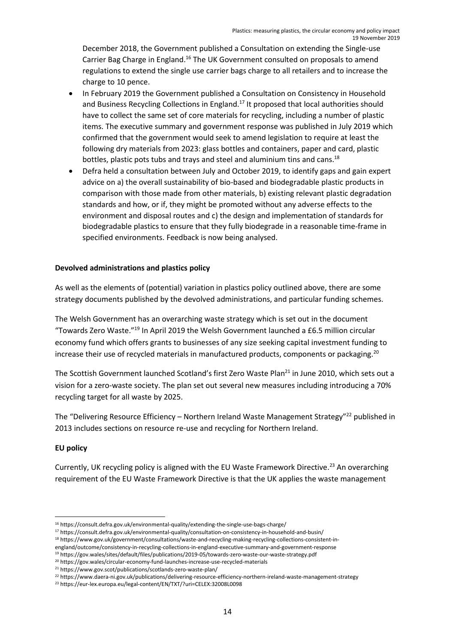December 2018, the Government published a Consultation on extending the Single-use Carrier Bag Charge in England.<sup>16</sup> The UK Government consulted on proposals to amend regulations to extend the single use carrier bags charge to all retailers and to increase the charge to 10 pence.

- In February 2019 the Government published a Consultation on Consistency in Household and Business Recycling Collections in England.<sup>17</sup> It proposed that local authorities should have to collect the same set of core materials for recycling, including a number of plastic items. The executive summary and government response was published in July 2019 which confirmed that the government would seek to amend legislation to require at least the following dry materials from 2023: glass bottles and containers, paper and card, plastic bottles, plastic pots tubs and trays and steel and aluminium tins and cans.<sup>18</sup>
- Defra held a consultation between July and October 2019, to identify gaps and gain expert advice on a) the overall sustainability of bio-based and biodegradable plastic products in comparison with those made from other materials, b) existing relevant plastic degradation standards and how, or if, they might be promoted without any adverse effects to the environment and disposal routes and c) the design and implementation of standards for biodegradable plastics to ensure that they fully biodegrade in a reasonable time-frame in specified environments. Feedback is now being analysed.

#### **Devolved administrations and plastics policy**

As well as the elements of (potential) variation in plastics policy outlined above, there are some strategy documents published by the devolved administrations, and particular funding schemes.

The Welsh Government has an overarching waste strategy which is set out in the document "Towards Zero Waste."<sup>19</sup> In April 2019 the Welsh Government launched a £6.5 million circular economy fund which offers grants to businesses of any size seeking capital investment funding to increase their use of recycled materials in manufactured products, components or packaging.<sup>20</sup>

The Scottish Government launched Scotland's first Zero Waste Plan<sup>21</sup> in June 2010, which sets out a vision for a zero-waste society. The plan set out several new measures including introducing a 70% recycling target for all waste by 2025.

The "Delivering Resource Efficiency – Northern Ireland Waste Management Strategy"<sup>22</sup> published in 2013 includes sections on resource re-use and recycling for Northern Ireland.

#### **EU policy**

Currently, UK recycling policy is aligned with the EU Waste Framework Directive.<sup>23</sup> An overarching requirement of the EU Waste Framework Directive is that the UK applies the waste management

<sup>21</sup> <https://www.gov.scot/publications/scotlands-zero-waste-plan/>

<sup>16</sup> <https://consult.defra.gov.uk/environmental-quality/extending-the-single-use-bags-charge/>

<sup>17</sup> <https://consult.defra.gov.uk/environmental-quality/consultation-on-consistency-in-household-and-busin/>

<sup>18</sup> [https://www.gov.uk/government/consultations/waste-and-recycling-making-recycling-collections-consistent-in-](https://www.gov.uk/government/consultations/waste-and-recycling-making-recycling-collections-consistent-in-england/outcome/consistency-in-recycling-collections-in-england-executive-summary-and-government-response)

[england/outcome/consistency-in-recycling-collections-in-england-executive-summary-and-government-response](https://www.gov.uk/government/consultations/waste-and-recycling-making-recycling-collections-consistent-in-england/outcome/consistency-in-recycling-collections-in-england-executive-summary-and-government-response)

<sup>19</sup> <https://gov.wales/sites/default/files/publications/2019-05/towards-zero-waste-our-waste-strategy.pdf>

<sup>20</sup> <https://gov.wales/circular-economy-fund-launches-increase-use-recycled-materials>

<sup>22</sup> <https://www.daera-ni.gov.uk/publications/delivering-resource-efficiency-northern-ireland-waste-management-strategy>

<sup>23</sup> <https://eur-lex.europa.eu/legal-content/EN/TXT/?uri=CELEX:32008L0098>